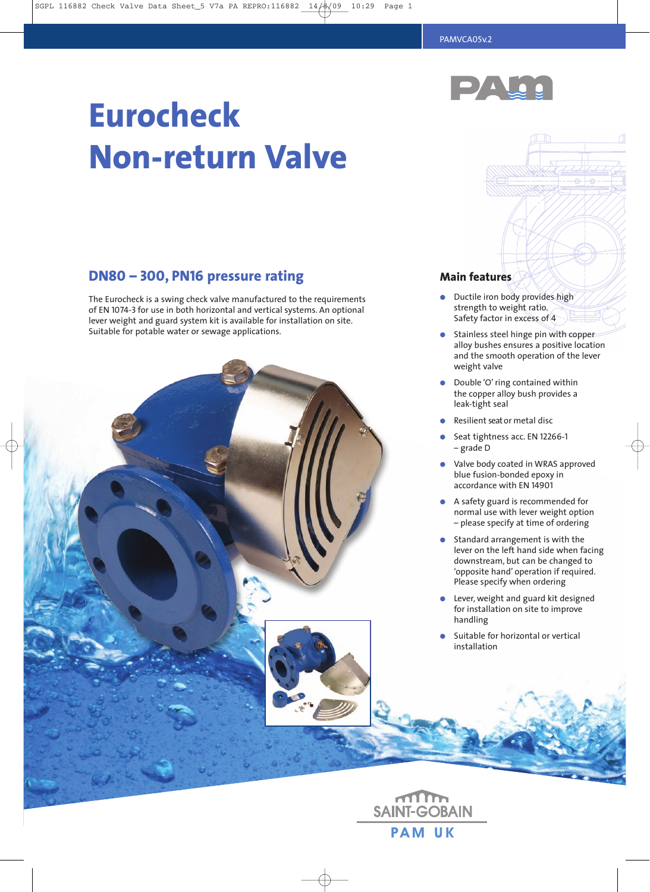**Main features**

**●** Ductile iron body provides high strength to weight ratio. Safety factor in excess of 4



# **Eurocheck Non-return Valve**

# **DN80 – 300, PN16 pressure rating**

The Eurocheck is a swing check valve manufactured to the requirements of EN 1074-3 for use in both horizontal and vertical systems. An optional lever weight and guard system kit is available for installation on site. Suitable for potable water or sewage applications.



**PAM UK**